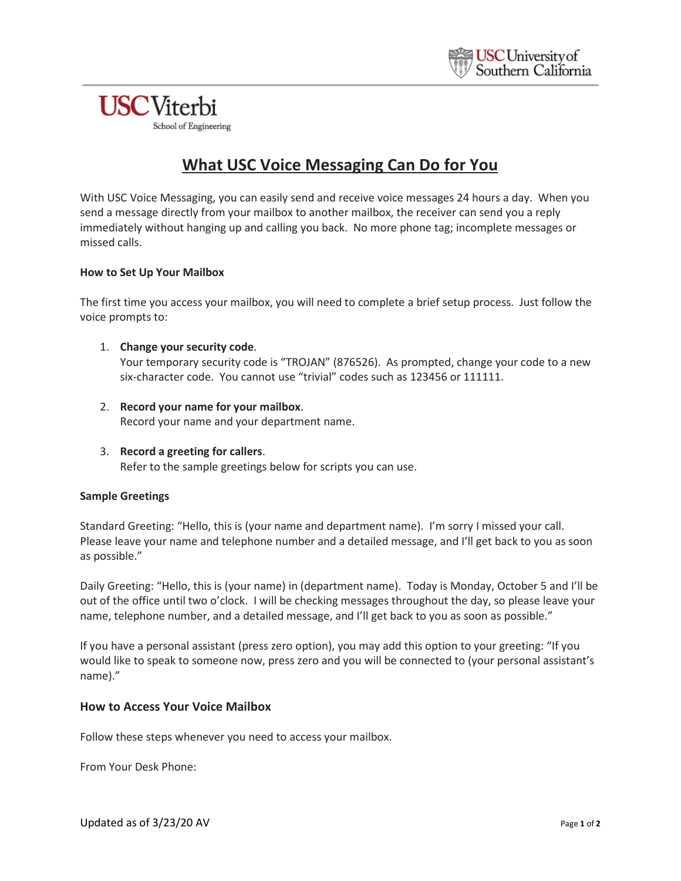# **USC**Viterbi

School of Engineering

# **What USC Voice Messaging Can Do for You**

With USC Voice Messaging, you can easily send and receive voice messages 24 hours a day. When you send a message directly from your mailbox to another mailbox, the receiver can send you a reply immediately without hanging up and calling you back. No more phone tag; incomplete messages or missed calls.

### **How to Set Up Your Mailbox**

The first time you access your mailbox, you will need to complete a brief setup process. Just follow the voice prompts to:

### 1. **Change your security code**.

Your temporary security code is "TROJAN" (876526). As prompted, change your code to a new six-character code. You cannot use "trivial" codes such as 123456 or 111111.

- 2. **Record your name for your mailbox**. Record your name and your department name.
- 3. **Record a greeting for callers**. Refer to the sample greetings below for scripts you can use.

#### **Sample Greetings**

Standard Greeting: "Hello, this is (your name and department name). I'm sorry I missed your call. Please leave your name and telephone number and a detailed message, and I'll get back to you as soon as possible."

Daily Greeting: "Hello, this is (your name) in (department name). Today is Monday, October 5 and I'll be out of the office until two o'clock. I will be checking messages throughout the day, so please leave your name, telephone number, and a detailed message, and I'll get back to you as soon as possible."

If you have a personal assistant (press zero option), you may add this option to your greeting: "If you would like to speak to someone now, press zero and you will be connected to (your personal assistant's name)."

## **How to Access Your Voice Mailbox**

Follow these steps whenever you need to access your mailbox.

From Your Desk Phone: